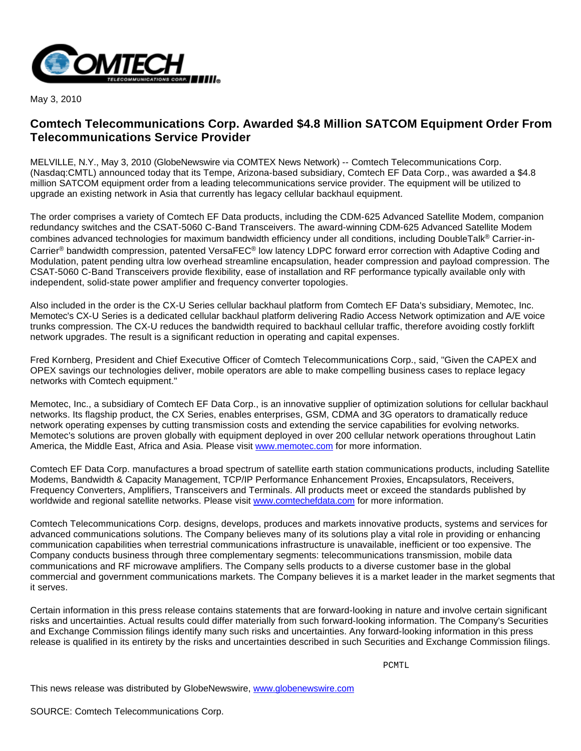

May 3, 2010

## **Comtech Telecommunications Corp. Awarded \$4.8 Million SATCOM Equipment Order From Telecommunications Service Provider**

MELVILLE, N.Y., May 3, 2010 (GlobeNewswire via COMTEX News Network) -- Comtech Telecommunications Corp. (Nasdaq:CMTL) announced today that its Tempe, Arizona-based subsidiary, Comtech EF Data Corp., was awarded a \$4.8 million SATCOM equipment order from a leading telecommunications service provider. The equipment will be utilized to upgrade an existing network in Asia that currently has legacy cellular backhaul equipment.

The order comprises a variety of Comtech EF Data products, including the CDM-625 Advanced Satellite Modem, companion redundancy switches and the CSAT-5060 C-Band Transceivers. The award-winning CDM-625 Advanced Satellite Modem combines advanced technologies for maximum bandwidth efficiency under all conditions, including DoubleTalk® Carrier-in-Carrier® bandwidth compression, patented VersaFEC® low latency LDPC forward error correction with Adaptive Coding and Modulation, patent pending ultra low overhead streamline encapsulation, header compression and payload compression. The CSAT-5060 C-Band Transceivers provide flexibility, ease of installation and RF performance typically available only with independent, solid-state power amplifier and frequency converter topologies.

Also included in the order is the CX-U Series cellular backhaul platform from Comtech EF Data's subsidiary, Memotec, Inc. Memotec's CX-U Series is a dedicated cellular backhaul platform delivering Radio Access Network optimization and A/E voice trunks compression. The CX-U reduces the bandwidth required to backhaul cellular traffic, therefore avoiding costly forklift network upgrades. The result is a significant reduction in operating and capital expenses.

Fred Kornberg, President and Chief Executive Officer of Comtech Telecommunications Corp., said, "Given the CAPEX and OPEX savings our technologies deliver, mobile operators are able to make compelling business cases to replace legacy networks with Comtech equipment."

Memotec, Inc., a subsidiary of Comtech EF Data Corp., is an innovative supplier of optimization solutions for cellular backhaul networks. Its flagship product, the CX Series, enables enterprises, GSM, CDMA and 3G operators to dramatically reduce network operating expenses by cutting transmission costs and extending the service capabilities for evolving networks. Memotec's solutions are proven globally with equipment deployed in over 200 cellular network operations throughout Latin America, the Middle East, Africa and Asia. Please visit [www.memotec.com](http://www.memotec.com/) for more information.

Comtech EF Data Corp. manufactures a broad spectrum of satellite earth station communications products, including Satellite Modems, Bandwidth & Capacity Management, TCP/IP Performance Enhancement Proxies, Encapsulators, Receivers, Frequency Converters, Amplifiers, Transceivers and Terminals. All products meet or exceed the standards published by worldwide and regional satellite networks. Please visit [www.comtechefdata.com](http://www.comtechefdata.com/) for more information.

Comtech Telecommunications Corp. designs, develops, produces and markets innovative products, systems and services for advanced communications solutions. The Company believes many of its solutions play a vital role in providing or enhancing communication capabilities when terrestrial communications infrastructure is unavailable, inefficient or too expensive. The Company conducts business through three complementary segments: telecommunications transmission, mobile data communications and RF microwave amplifiers. The Company sells products to a diverse customer base in the global commercial and government communications markets. The Company believes it is a market leader in the market segments that it serves.

Certain information in this press release contains statements that are forward-looking in nature and involve certain significant risks and uncertainties. Actual results could differ materially from such forward-looking information. The Company's Securities and Exchange Commission filings identify many such risks and uncertainties. Any forward-looking information in this press release is qualified in its entirety by the risks and uncertainties described in such Securities and Exchange Commission filings.

PONTL PONTL

This news release was distributed by GlobeNewswire, [www.globenewswire.com](http://www.globenewswire.com/)

SOURCE: Comtech Telecommunications Corp.